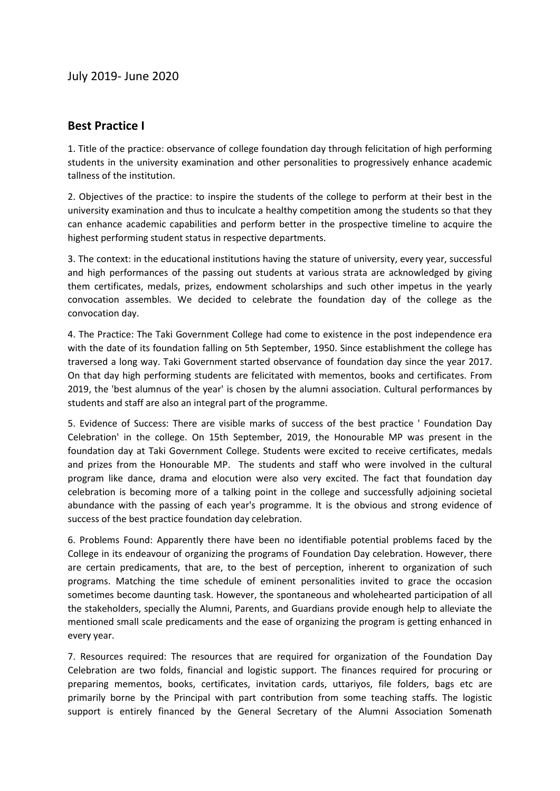## **Best Practice I**

1. Title of the practice: observance of college foundation day through felicitation of high performing students in the university examination and other personalities to progressively enhance academic tallness of the institution.

2. Objectives of the practice: to inspire the students of the college to perform at their best in the university examination and thus to inculcate a healthy competition among the students so that they can enhance academic capabilities and perform better in the prospective timeline to acquire the highest performing student status in respective departments.

3. The context: in the educational institutions having the stature of university, every year, successful and high performances of the passing out students at various strata are acknowledged by giving them certificates, medals, prizes, endowment scholarships and such other impetus in the yearly convocation assembles. We decided to celebrate the foundation day of the college as the convocation day.

4. The Practice: The Taki Government College had come to existence in the post independence era with the date of its foundation falling on 5th September, 1950. Since establishment the college has traversed a long way. Taki Government started observance of foundation day since the year 2017. On that day high performing students are felicitated with mementos, books and certificates. From 2019, the 'best alumnus of the year' is chosen by the alumni association. Cultural performances by students and staff are also an integral part of the programme.

5. Evidence of Success: There are visible marks of success of the best practice ' Foundation Day Celebration' in the college. On 15th September, 2019, the Honourable MP was present in the foundation day at Taki Government College. Students were excited to receive certificates, medals and prizes from the Honourable MP. The students and staff who were involved in the cultural program like dance, drama and elocution were also very excited. The fact that foundation day celebration is becoming more of a talking point in the college and successfully adjoining societal abundance with the passing of each year's programme. It is the obvious and strong evidence of success of the best practice foundation day celebration.

6. Problems Found: Apparently there have been no identifiable potential problems faced by the College in its endeavour of organizing the programs of Foundation Day celebration. However, there are certain predicaments, that are, to the best of perception, inherent to organization of such programs. Matching the time schedule of eminent personalities invited to grace the occasion sometimes become daunting task. However, the spontaneous and wholehearted participation of all the stakeholders, specially the Alumni, Parents, and Guardians provide enough help to alleviate the mentioned small scale predicaments and the ease of organizing the program is getting enhanced in every year.

7. Resources required: The resources that are required for organization of the Foundation Day Celebration are two folds, financial and logistic support. The finances required for procuring or preparing mementos, books, certificates, invitation cards, uttariyos, file folders, bags etc are primarily borne by the Principal with part contribution from some teaching staffs. The logistic support is entirely financed by the General Secretary of the Alumni Association Somenath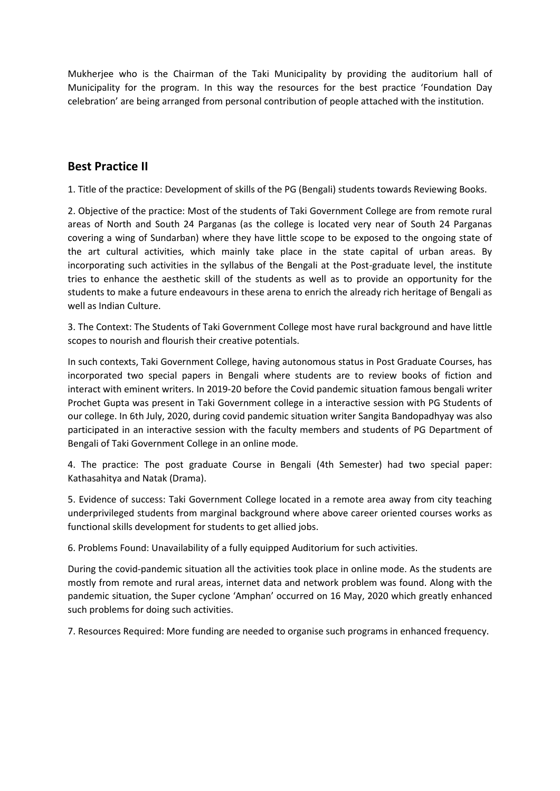Mukherjee who is the Chairman of the Taki Municipality by providing the auditorium hall of Municipality for the program. In this way the resources for the best practice 'Foundation Day celebration' are being arranged from personal contribution of people attached with the institution.

## **Best Practice II**

1. Title of the practice: Development of skills of the PG (Bengali) students towards Reviewing Books.

2. Objective of the practice: Most of the students of Taki Government College are from remote rural areas of North and South 24 Parganas (as the college is located very near of South 24 Parganas covering a wing of Sundarban) where they have little scope to be exposed to the ongoing state of the art cultural activities, which mainly take place in the state capital of urban areas. By incorporating such activities in the syllabus of the Bengali at the Post-graduate level, the institute tries to enhance the aesthetic skill of the students as well as to provide an opportunity for the students to make a future endeavours in these arena to enrich the already rich heritage of Bengali as well as Indian Culture.

3. The Context: The Students of Taki Government College most have rural background and have little scopes to nourish and flourish their creative potentials.

In such contexts, Taki Government College, having autonomous status in Post Graduate Courses, has incorporated two special papers in Bengali where students are to review books of fiction and interact with eminent writers. In 2019-20 before the Covid pandemic situation famous bengali writer Prochet Gupta was present in Taki Government college in a interactive session with PG Students of our college. In 6th July, 2020, during covid pandemic situation writer Sangita Bandopadhyay was also participated in an interactive session with the faculty members and students of PG Department of Bengali of Taki Government College in an online mode.

4. The practice: The post graduate Course in Bengali (4th Semester) had two special paper: Kathasahitya and Natak (Drama).

5. Evidence of success: Taki Government College located in a remote area away from city teaching underprivileged students from marginal background where above career oriented courses works as functional skills development for students to get allied jobs.

6. Problems Found: Unavailability of a fully equipped Auditorium for such activities.

During the covid-pandemic situation all the activities took place in online mode. As the students are mostly from remote and rural areas, internet data and network problem was found. Along with the pandemic situation, the Super cyclone 'Amphan' occurred on 16 May, 2020 which greatly enhanced such problems for doing such activities.

7. Resources Required: More funding are needed to organise such programs in enhanced frequency.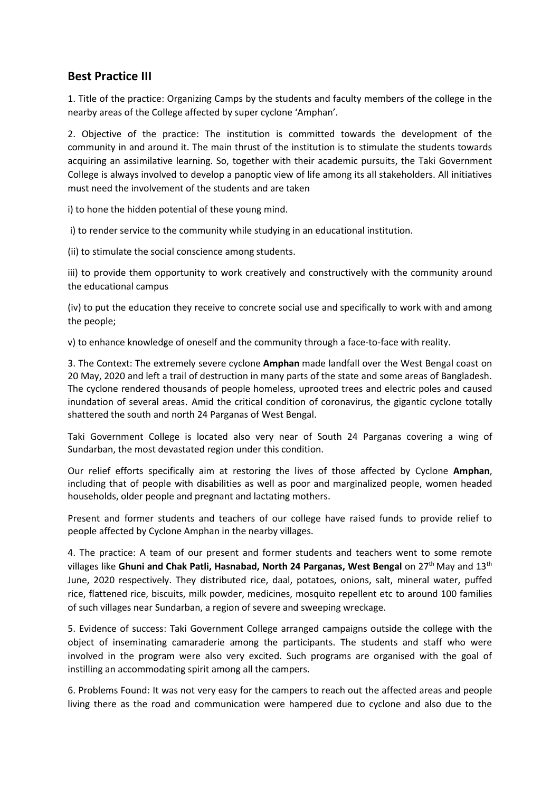## **Best Practice III**

1. Title of the practice: Organizing Camps by the students and faculty members of the college in the nearby areas of the College affected by super cyclone 'Amphan'.

2. Objective of the practice: The institution is committed towards the development of the community in and around it. The main thrust of the institution is to stimulate the students towards acquiring an assimilative learning. So, together with their academic pursuits, the Taki Government College is always involved to develop a panoptic view of life among its all stakeholders. All initiatives must need the involvement of the students and are taken

i) to hone the hidden potential of these young mind.

i) to render service to the community while studying in an educational institution.

(ii) to stimulate the social conscience among students.

iii) to provide them opportunity to work creatively and constructively with the community around the educational campus

(iv) to put the education they receive to concrete social use and specifically to work with and among the people;

v) to enhance knowledge of oneself and the community through a face-to-face with reality.

3. The Context: The extremely severe cyclone **Amphan** made landfall over the West Bengal coast on 20 May, 2020 and left a trail of destruction in many parts of the state and some areas of Bangladesh. The cyclone rendered thousands of people homeless, uprooted trees and electric poles and caused inundation of several areas. Amid the critical condition of coronavirus, the gigantic cyclone totally shattered the south and north 24 Parganas of West Bengal.

Taki Government College is located also very near of South 24 Parganas covering a wing of Sundarban, the most devastated region under this condition.

Our relief efforts specifically aim at restoring the lives of those affected by Cyclone **Amphan**, including that of people with disabilities as well as poor and marginalized people, women headed households, older people and pregnant and lactating mothers.

Present and former students and teachers of our college have raised funds to provide relief to people affected by Cyclone Amphan in the nearby villages.

4. The practice: A team of our present and former students and teachers went to some remote villages like **Ghuni and Chak Patli, Hasnabad, North 24 Parganas, West Bengal** on 27th May and 13th June, 2020 respectively. They distributed rice, daal, potatoes, onions, salt, mineral water, puffed rice, flattened rice, biscuits, milk powder, medicines, mosquito repellent etc to around 100 families of such villages near Sundarban, a region of severe and sweeping wreckage.

5. Evidence of success: Taki Government College arranged campaigns outside the college with the object of inseminating camaraderie among the participants. The students and staff who were involved in the program were also very excited. Such programs are organised with the goal of instilling an accommodating spirit among all the campers.

6. Problems Found: It was not very easy for the campers to reach out the affected areas and people living there as the road and communication were hampered due to cyclone and also due to the